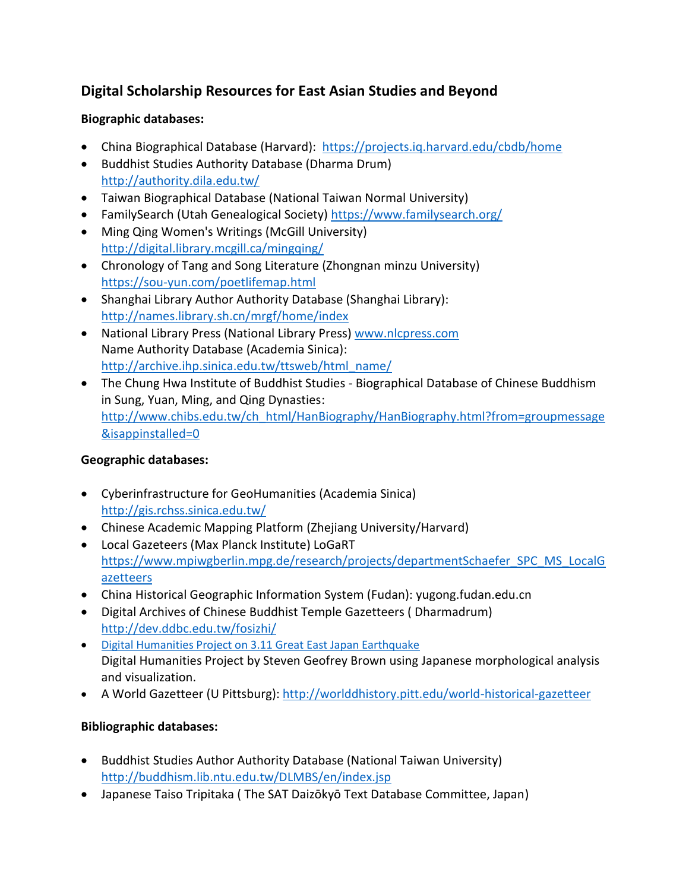# **Digital Scholarship Resources for East Asian Studies and Beyond**

## **Biographic databases:**

- China Biographical Database (Harvard): <https://projects.iq.harvard.edu/cbdb/home>
- Buddhist Studies Authority Database (Dharma Drum) <http://authority.dila.edu.tw/>
- Taiwan Biographical Database (National Taiwan Normal University)
- FamilySearch (Utah Genealogical Society)<https://www.familysearch.org/>
- Ming Qing Women's Writings (McGill University) <http://digital.library.mcgill.ca/mingqing/>
- Chronology of Tang and Song Literature (Zhongnan minzu University) <https://sou-yun.com/poetlifemap.html>
- Shanghai Library Author Authority Database (Shanghai Library): <http://names.library.sh.cn/mrgf/home/index>
- National Library Press (National Library Press) [www.nlcpress.com](http://www.nlcpress.com/) Name Authority Database (Academia Sinica): [http://archive.ihp.sinica.edu.tw/ttsweb/html\\_name/](http://archive.ihp.sinica.edu.tw/ttsweb/html_name/)
- The Chung Hwa Institute of Buddhist Studies Biographical Database of Chinese Buddhism in Sung, Yuan, Ming, and Qing Dynasties: [http://www.chibs.edu.tw/ch\\_html/HanBiography/HanBiography.html?from=groupmessage](http://www.chibs.edu.tw/ch_html/HanBiography/HanBiography.html?from=groupmessage&isappinstalled=0) [&isappinstalled=0](http://www.chibs.edu.tw/ch_html/HanBiography/HanBiography.html?from=groupmessage&isappinstalled=0)

# **Geographic databases:**

- Cyberinfrastructure for GeoHumanities (Academia Sinica) <http://gis.rchss.sinica.edu.tw/>
- Chinese Academic Mapping Platform (Zhejiang University/Harvard)
- Local Gazeteers (Max Planck Institute) LoGaRT [https://www.mpiwgberlin.mpg.de/research/projects/departmentSchaefer\\_SPC\\_MS\\_LocalG](https://www.mpiwgberlin.mpg.de/research/projects/departmentSchaefer_SPC_MS_LocalGazetteers) [azetteers](https://www.mpiwgberlin.mpg.de/research/projects/departmentSchaefer_SPC_MS_LocalGazetteers)
- China Historical Geographic Information System (Fudan): yugong.fudan.edu.cn
- Digital Archives of Chinese Buddhist Temple Gazetteers ( Dharmadrum) <http://dev.ddbc.edu.tw/fosizhi/>
- **[Digital Humanities Project on 3.11 Great East Japan Earthquake](http://www.stevengbraun.com/dev/sonotoki/)** Digital Humanities Project by Steven Geofrey Brown using Japanese morphological analysis and visualization.
- A World Gazetteer (U Pittsburg): <http://worlddhistory.pitt.edu/world-historical-gazetteer>

# **Bibliographic databases:**

- Buddhist Studies Author Authority Database (National Taiwan University) <http://buddhism.lib.ntu.edu.tw/DLMBS/en/index.jsp>
- Japanese Taiso Tripitaka ( The SAT Daizōkyō Text Database Committee, Japan)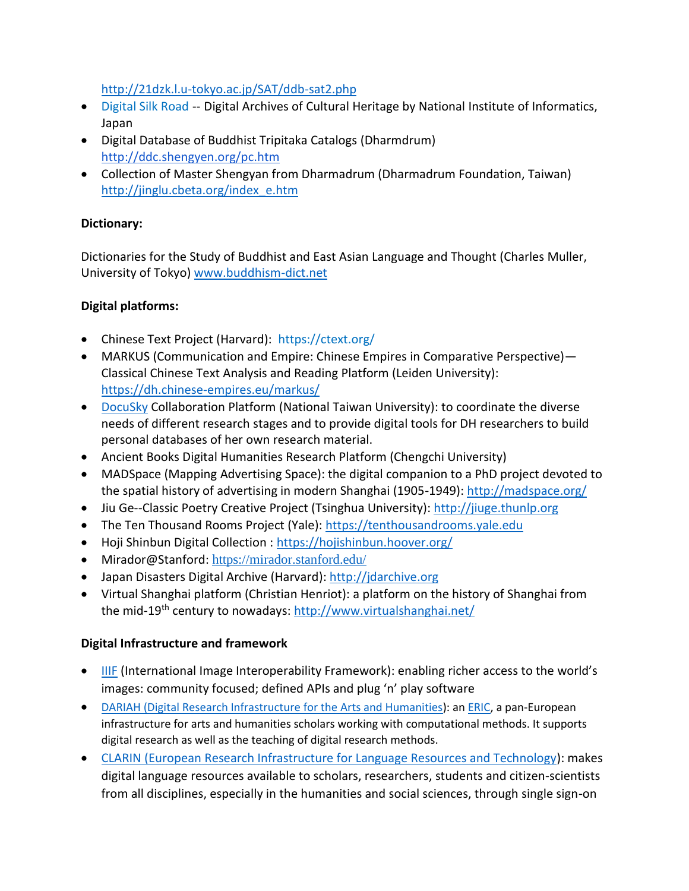<http://21dzk.l.u-tokyo.ac.jp/SAT/ddb-sat2.php>

- [Digital](http://dsr.nii.ac.jp/index.html.en) Silk Road -- Digital Archives of Cultural Heritage by National Institute of Informatics, Japan
- Digital Database of Buddhist Tripitaka Catalogs (Dharmdrum) <http://ddc.shengyen.org/pc.htm>
- Collection of Master Shengyan from Dharmadrum (Dharmadrum Foundation, Taiwan) [http://jinglu.cbeta.org/index\\_e.htm](http://jinglu.cbeta.org/index_e.htm)

#### **Dictionary:**

Dictionaries for the Study of Buddhist and East Asian Language and Thought (Charles Muller, University of Tokyo) [www.buddhism-dict.net](http://www.buddhism-dict.net/)

#### **Digital platforms:**

- Chinese Text Project (Harvard): <https://ctext.org/>
- MARKUS (Communication and Empire: Chinese Empires in Comparative Perspective)— Classical Chinese Text Analysis and Reading Platform (Leiden University): <https://dh.chinese-empires.eu/markus/>
- [DocuSky](https://docusky.digital.ntu.edu.tw/) Collaboration Platform (National Taiwan University): to coordinate the diverse needs of different research stages and to provide digital tools for DH researchers to build personal databases of her own research material.
- Ancient Books Digital Humanities Research Platform (Chengchi University)
- MADSpace (Mapping Advertising Space): the digital companion to a PhD project devoted to the spatial history of advertising in modern Shanghai (1905-1949):<http://madspace.org/>
- Jiu Ge--Classic Poetry Creative Project (Tsinghua University): [http://jiuge.thunlp.org](http://jiuge.thunlp.org/)
- The Ten Thousand Rooms Project (Yale): [https://tenthousandrooms.yale.edu](https://tenthousandrooms.yale.edu/)
- Hoji Shinbun Digital Collection :<https://hojishinbun.hoover.org/>
- Mirador@Stanford: <https://mirador.stanford.edu/>
- Japan Disasters Digital Archive (Harvard): [http://jdarchive.org](http://jdarchive.org/)
- Virtual Shanghai platform (Christian Henriot): a platform on the history of Shanghai from the mid-19<sup>th</sup> century to nowadays: <http://www.virtualshanghai.net/>

#### **Digital Infrastructure and framework**

- [IIIF](http://iiif.io/) (International Image Interoperability Framework): enabling richer access to the world's images: community focused; defined APIs and plug 'n' play software
- DARIAH (Digital [Research Infrastructure for the Arts and Humanities\)](https://www.dariah.eu/): an [ERIC,](https://www.dariah.eu/about/dariah-in-nutshell/what-is-an-eric/) a pan-European infrastructure for arts and humanities scholars working with computational methods. It supports digital research as well as the teaching of digital research methods.
- [CLARIN \(European Research Infrastructure for Language Resources and Technology\)](https://www.clarin.eu/): makes digital language resources available to scholars, researchers, students and citizen-scientists from all disciplines, especially in the humanities and social sciences, through single sign-on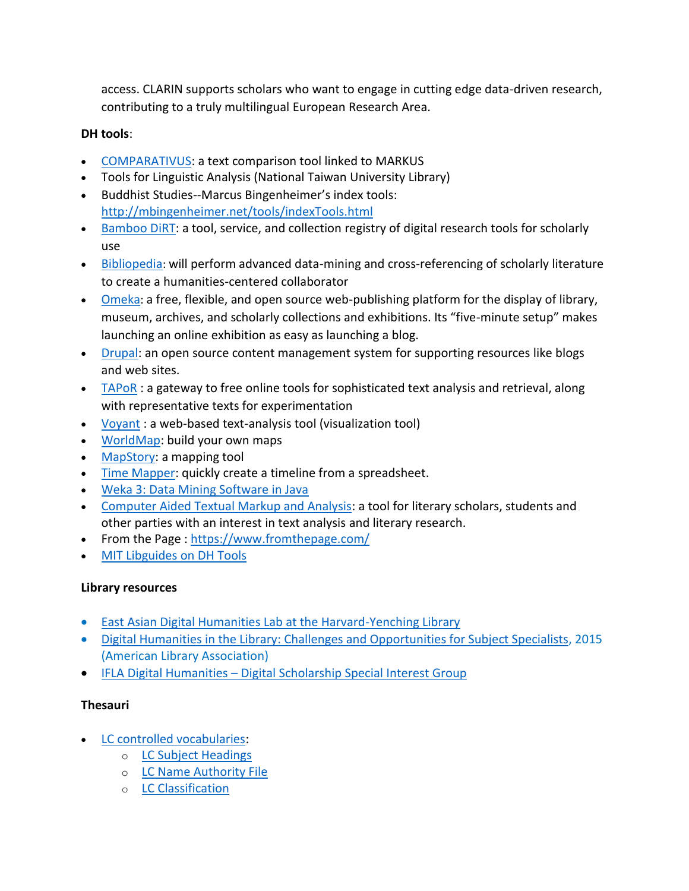access. CLARIN supports scholars who want to engage in cutting edge data-driven research, contributing to a truly multilingual European Research Area.

## **DH tools**:

- **[COMPARATIVUS:](https://dh.chinese-empires.eu/comparativus/) a text comparison tool linked to MARKUS**
- Tools for Linguistic Analysis (National Taiwan University Library)
- Buddhist Studies--Marcus Bingenheimer's index tools: <http://mbingenheimer.net/tools/indexTools.html>
- [Bamboo DiRT:](http://dirt.projectbamboo.org/) a tool, service, and collection registry of digital research tools for scholarly use
- [Bibliopedia](http://www.bibliopedia.org/): will perform advanced data-mining and cross-referencing of scholarly literature to create a humanities-centered collaborator
- [Omeka](http://omeka.org/): a free, flexible, and open source web-publishing platform for the display of library, museum, archives, and scholarly collections and exhibitions. Its "five-minute setup" makes launching an online exhibition as easy as launching a blog.
- [Drupal:](http://drupal.org/) an open source content management system for supporting resources like blogs and web sites.
- $\blacksquare$  [TAPoR](http://taporware.ualberta.ca/) : a gateway to free online tools for sophisticated text analysis and retrieval, along with representative texts for experimentation
- [Voyant](https://voyant-tools.org/) : a web-based text-analysis tool (visualization tool)
- [WorldMap:](http://worldmap.harvard.edu/) build your own maps
- [MapStory:](http://mapstory.org/) a mapping tool
- [Time Mapper:](http://timemapper.okfnlabs.org/) quickly create a timeline from a spreadsheet.
- [Weka 3: Data Mining Software in Java](http://www.cs.waikato.ac.nz/~ml/weka/)
- [Computer Aided Textual Markup and Analysis:](http://www.catma.de/) a tool for literary scholars, students and other parties with an interest in text analysis and literary research.
- From the Page :<https://www.fromthepage.com/>
- **[MIT Libguides on DH Tools](https://libguides.mit.edu/c.php?g=176357&p=1158575)**

# **Library resources**

- [East Asian Digital Humanities Lab at the Harvard-Yenching Library](https://guides.library.harvard.edu/EADH)
- [Digital Humanities in the Library: Challenges and Opportunities for Subject Specialists,](http://www.ala.org/acrl/sites/ala.org.acrl/files/content/publications/booksanddigitalresources/digital/9780838987681_humanities_OA.pdf) 2015 (American Library Association)
- IFLA Digital Humanities [Digital Scholarship Special Interest Group](https://www.ifla.org/dhds)

# **Thesauri**

- [LC controlled vocabularies:](file:///C:/Users/miekom/AppData/Local/Temp/id.loc.gov)
	- o [LC Subject Headings](http://id.loc.gov/authorities/subjects)
	- o [LC Name Authority File](http://id.loc.gov/authorities/names)
	- o [LC Classification](http://id.loc.gov/authorities/classification)